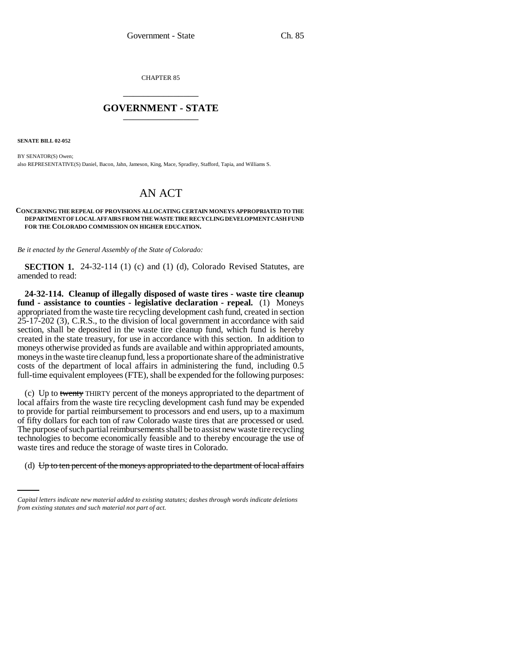CHAPTER 85 \_\_\_\_\_\_\_\_\_\_\_\_\_\_\_

## **GOVERNMENT - STATE** \_\_\_\_\_\_\_\_\_\_\_\_\_\_\_

**SENATE BILL 02-052**

BY SENATOR(S) Owen; also REPRESENTATIVE(S) Daniel, Bacon, Jahn, Jameson, King, Mace, Spradley, Stafford, Tapia, and Williams S.

## AN ACT

## **CONCERNING THE REPEAL OF PROVISIONS ALLOCATING CERTAIN MONEYS APPROPRIATED TO THE DEPARTMENT OF LOCAL AFFAIRS FROM THE WASTE TIRE RECYCLING DEVELOPMENT CASH FUND FOR THE COLORADO COMMISSION ON HIGHER EDUCATION.**

*Be it enacted by the General Assembly of the State of Colorado:*

**SECTION 1.** 24-32-114 (1) (c) and (1) (d), Colorado Revised Statutes, are amended to read:

**24-32-114. Cleanup of illegally disposed of waste tires - waste tire cleanup fund - assistance to counties - legislative declaration - repeal.** (1) Moneys appropriated from the waste tire recycling development cash fund, created in section 25-17-202 (3), C.R.S., to the division of local government in accordance with said section, shall be deposited in the waste tire cleanup fund, which fund is hereby created in the state treasury, for use in accordance with this section. In addition to moneys otherwise provided as funds are available and within appropriated amounts, moneys in the waste tire cleanup fund, less a proportionate share of the administrative costs of the department of local affairs in administering the fund, including 0.5 full-time equivalent employees (FTE), shall be expended for the following purposes:

waste tires and reduce the storage of waste tires in Colorado. (c) Up to twenty THIRTY percent of the moneys appropriated to the department of local affairs from the waste tire recycling development cash fund may be expended to provide for partial reimbursement to processors and end users, up to a maximum of fifty dollars for each ton of raw Colorado waste tires that are processed or used. The purpose of such partial reimbursements shall be to assist new waste tire recycling technologies to become economically feasible and to thereby encourage the use of

(d)  $Up$  to ten percent of the moneys appropriated to the department of local affairs

*Capital letters indicate new material added to existing statutes; dashes through words indicate deletions from existing statutes and such material not part of act.*